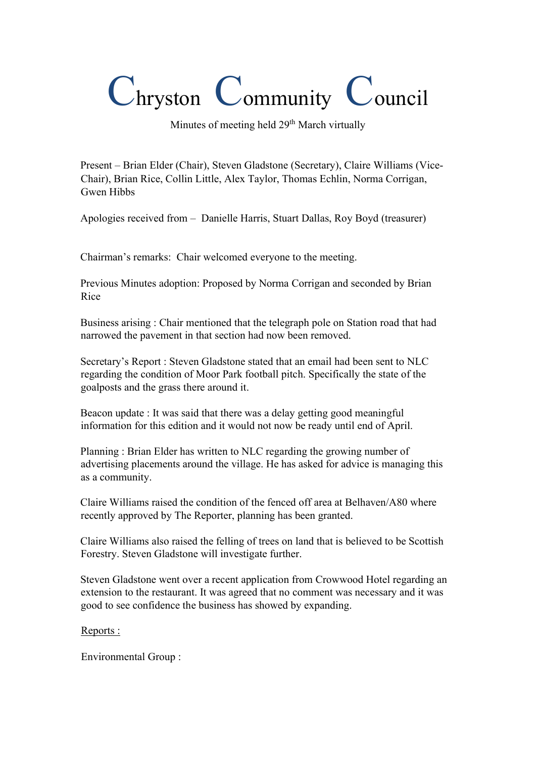## Chryston Community Council

Minutes of meeting held  $29<sup>th</sup>$  March virtually

Present – Brian Elder (Chair), Steven Gladstone (Secretary), Claire Williams (Vice-Chair), Brian Rice, Collin Little, Alex Taylor, Thomas Echlin, Norma Corrigan, Gwen Hibbs

Apologies received from – Danielle Harris, Stuart Dallas, Roy Boyd (treasurer)

Chairman's remarks: Chair welcomed everyone to the meeting.

Previous Minutes adoption: Proposed by Norma Corrigan and seconded by Brian Rice

Business arising : Chair mentioned that the telegraph pole on Station road that had narrowed the pavement in that section had now been removed.

Secretary's Report : Steven Gladstone stated that an email had been sent to NLC regarding the condition of Moor Park football pitch. Specifically the state of the goalposts and the grass there around it.

Beacon update : It was said that there was a delay getting good meaningful information for this edition and it would not now be ready until end of April.

Planning : Brian Elder has written to NLC regarding the growing number of advertising placements around the village. He has asked for advice is managing this as a community.

Claire Williams raised the condition of the fenced off area at Belhaven/A80 where recently approved by The Reporter, planning has been granted.

Claire Williams also raised the felling of trees on land that is believed to be Scottish Forestry. Steven Gladstone will investigate further.

Steven Gladstone went over a recent application from Crowwood Hotel regarding an extension to the restaurant. It was agreed that no comment was necessary and it was good to see confidence the business has showed by expanding.

## Reports :

Environmental Group :